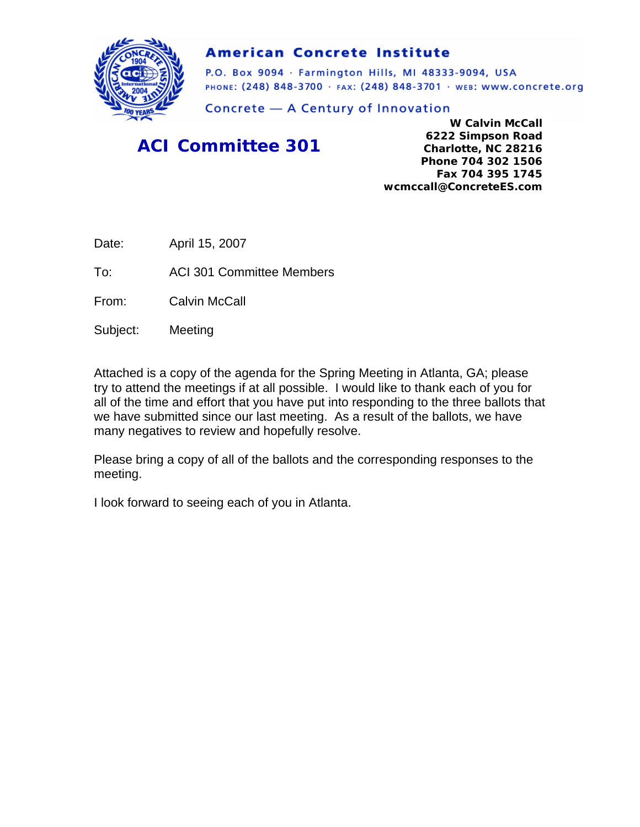

#### **American Concrete Institute**

P.O. Box 9094 · Farmington Hills, MI 48333-9094, USA PHONE: (248) 848-3700 · FAX: (248) 848-3701 · WEB: WWW.CONCrete.org

Concrete - A Century of Innovation

## *ACI Committee 301*

**W Calvin McCall 6222 Simpson Road Charlotte, NC 28216 Phone 704 302 1506 Fax 704 395 1745 wcmccall@ConcreteES.com** 

Date: April 15, 2007

To: ACI 301 Committee Members

From: Calvin McCall

Subject: Meeting

Attached is a copy of the agenda for the Spring Meeting in Atlanta, GA; please try to attend the meetings if at all possible. I would like to thank each of you for all of the time and effort that you have put into responding to the three ballots that we have submitted since our last meeting. As a result of the ballots, we have many negatives to review and hopefully resolve.

Please bring a copy of all of the ballots and the corresponding responses to the meeting.

I look forward to seeing each of you in Atlanta.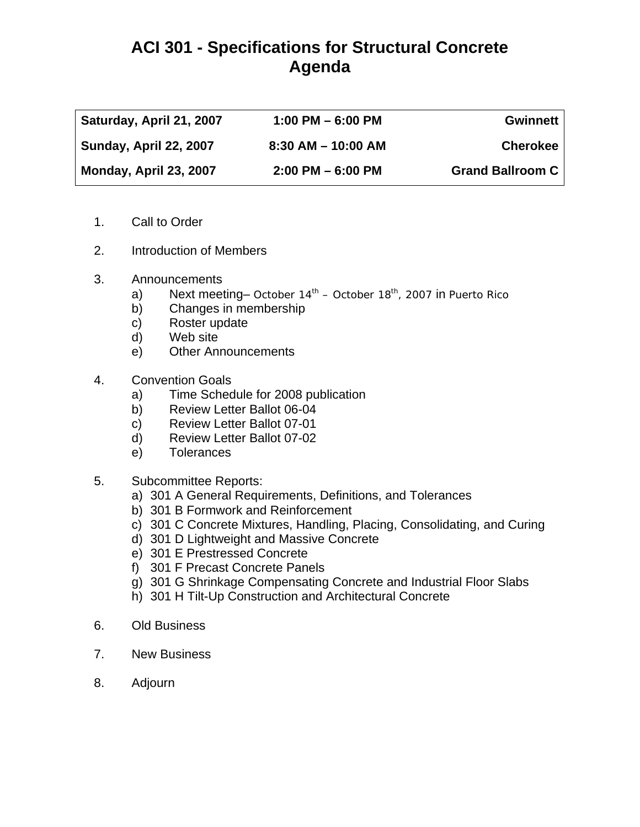## **ACI 301 - Specifications for Structural Concrete Agenda**

| Saturday, April 21, 2007 | $1:00$ PM $-6:00$ PM   | Gwinnett                |
|--------------------------|------------------------|-------------------------|
| Sunday, April 22, 2007   | $8:30$ AM $-$ 10:00 AM | <b>Cherokee</b>         |
| Monday, April 23, 2007   | $2:00$ PM $-6:00$ PM   | <b>Grand Ballroom C</b> |

- 1. Call to Order
- 2. Introduction of Members
- 3. Announcements
	- a) Next meeting– October  $14<sup>th</sup>$  October  $18<sup>th</sup>$ , 2007 in Puerto Rico
	- b) Changes in membership
	- c) Roster update
	- d) Web site
	- e) Other Announcements
- 4. Convention Goals
	- a) Time Schedule for 2008 publication
	- b) Review Letter Ballot 06-04
	- c) Review Letter Ballot 07-01
	- d) Review Letter Ballot 07-02
	- e) Tolerances
- 5. Subcommittee Reports:
	- a) 301 A General Requirements, Definitions, and Tolerances
	- b) 301 B Formwork and Reinforcement
	- c) 301 C Concrete Mixtures, Handling, Placing, Consolidating, and Curing
	- d) 301 D Lightweight and Massive Concrete
	- e) 301 E Prestressed Concrete
	- f) 301 F Precast Concrete Panels
	- g) 301 G Shrinkage Compensating Concrete and Industrial Floor Slabs
	- h) 301 H Tilt-Up Construction and Architectural Concrete
- 6. Old Business
- 7. New Business
- 8. Adjourn